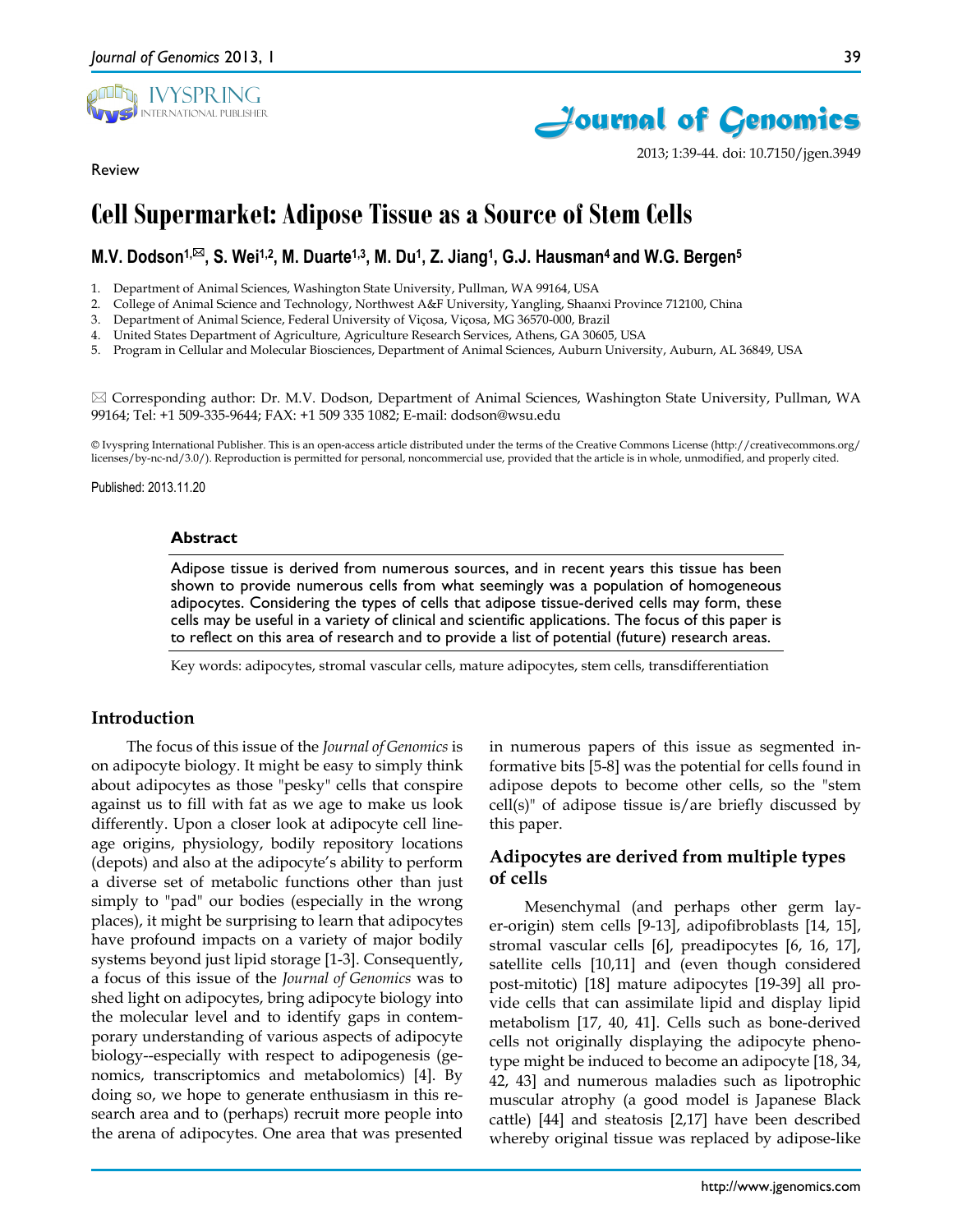

Review

2013; 1:39-44. doi: 10.7150/jgen.3949

# **Cell Supermarket: Adipose Tissue as a Source of Stem Cells**

# **M.V. Dodson<sup>1,⊠</sup>, S. Wei<sup>1,2</sup>, M. Duarte<sup>1,3</sup>, M. Du<sup>1</sup>, Z. Jiang<sup>1</sup>, G.J. Hausman<sup>4</sup> and W.G. Bergen<sup>5</sup>**

1. Department of Animal Sciences, Washington State University, Pullman, WA 99164, USA

- 2. College of Animal Science and Technology, Northwest A&F University, Yangling, Shaanxi Province 712100, China
- 3. Department of Animal Science, Federal University of Viçosa, Viçosa, MG 36570-000, Brazil
- 4. United States Department of Agriculture, Agriculture Research Services, Athens, GA 30605, USA
- 5. Program in Cellular and Molecular Biosciences, Department of Animal Sciences, Auburn University, Auburn, AL 36849, USA

 Corresponding author: Dr. M.V. Dodson, Department of Animal Sciences, Washington State University, Pullman, WA 99164; Tel: +1 509-335-9644; FAX: +1 509 335 1082; E-mail: dodson@wsu.edu

© Ivyspring International Publisher. This is an open-access article distributed under the terms of the Creative Commons License (http://creativecommons.org/ licenses/by-nc-nd/3.0/). Reproduction is permitted for personal, noncommercial use, provided that the article is in whole, unmodified, and properly cited.

Published: 2013.11.20

#### **Abstract**

Adipose tissue is derived from numerous sources, and in recent years this tissue has been shown to provide numerous cells from what seemingly was a population of homogeneous adipocytes. Considering the types of cells that adipose tissue-derived cells may form, these cells may be useful in a variety of clinical and scientific applications. The focus of this paper is to reflect on this area of research and to provide a list of potential (future) research areas.

Key words: adipocytes, stromal vascular cells, mature adipocytes, stem cells, transdifferentiation

#### **Introduction**

The focus of this issue of the *Journal of Genomics* is on adipocyte biology. It might be easy to simply think about adipocytes as those "pesky" cells that conspire against us to fill with fat as we age to make us look differently. Upon a closer look at adipocyte cell lineage origins, physiology, bodily repository locations (depots) and also at the adipocyte's ability to perform a diverse set of metabolic functions other than just simply to "pad" our bodies (especially in the wrong places), it might be surprising to learn that adipocytes have profound impacts on a variety of major bodily systems beyond just lipid storage [1-3]. Consequently, a focus of this issue of the *Journal of Genomics* was to shed light on adipocytes, bring adipocyte biology into the molecular level and to identify gaps in contemporary understanding of various aspects of adipocyte biology--especially with respect to adipogenesis (genomics, transcriptomics and metabolomics) [4]. By doing so, we hope to generate enthusiasm in this research area and to (perhaps) recruit more people into the arena of adipocytes. One area that was presented in numerous papers of this issue as segmented informative bits [5-8] was the potential for cells found in adipose depots to become other cells, so the "stem cell(s)" of adipose tissue is/are briefly discussed by this paper.

# **Adipocytes are derived from multiple types of cells**

Mesenchymal (and perhaps other germ layer-origin) stem cells [9-13], adipofibroblasts [14, 15], stromal vascular cells [6], preadipocytes [6, 16, 17], satellite cells [10,11] and (even though considered post-mitotic) [18] mature adipocytes [19-39] all provide cells that can assimilate lipid and display lipid metabolism [17, 40, 41]. Cells such as bone-derived cells not originally displaying the adipocyte phenotype might be induced to become an adipocyte [18, 34, 42, 43] and numerous maladies such as lipotrophic muscular atrophy (a good model is Japanese Black cattle) [44] and steatosis [2,17] have been described whereby original tissue was replaced by adipose-like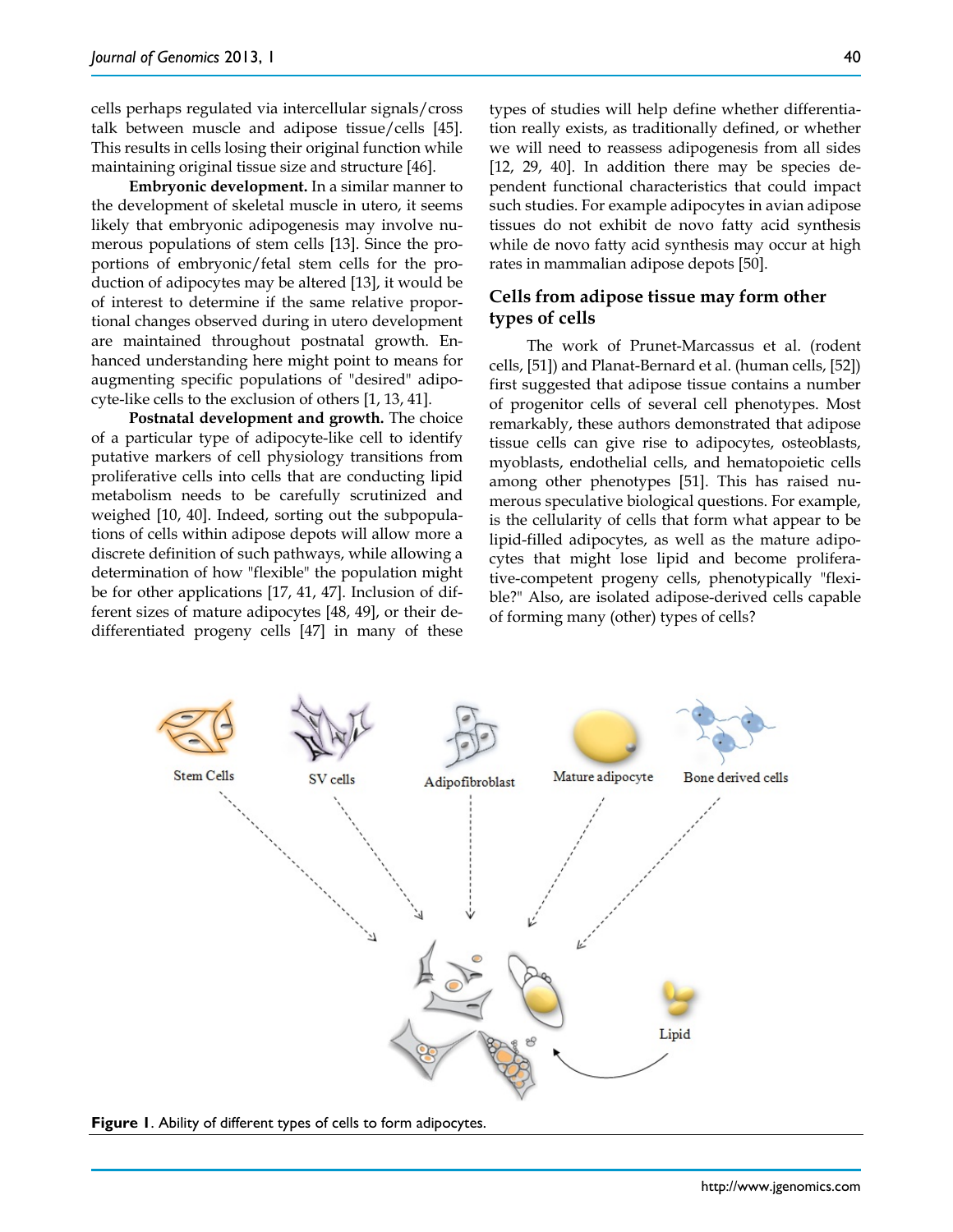cells perhaps regulated via intercellular signals/cross talk between muscle and adipose tissue/cells [45]. This results in cells losing their original function while maintaining original tissue size and structure [46].

**Embryonic development.** In a similar manner to the development of skeletal muscle in utero, it seems likely that embryonic adipogenesis may involve numerous populations of stem cells [13]. Since the proportions of embryonic/fetal stem cells for the production of adipocytes may be altered [13], it would be of interest to determine if the same relative proportional changes observed during in utero development are maintained throughout postnatal growth. Enhanced understanding here might point to means for augmenting specific populations of "desired" adipocyte-like cells to the exclusion of others [1, 13, 41].

**Postnatal development and growth.** The choice of a particular type of adipocyte-like cell to identify putative markers of cell physiology transitions from proliferative cells into cells that are conducting lipid metabolism needs to be carefully scrutinized and weighed [10, 40]. Indeed, sorting out the subpopulations of cells within adipose depots will allow more a discrete definition of such pathways, while allowing a determination of how "flexible" the population might be for other applications [17, 41, 47]. Inclusion of different sizes of mature adipocytes [48, 49], or their dedifferentiated progeny cells [47] in many of these

types of studies will help define whether differentiation really exists, as traditionally defined, or whether we will need to reassess adipogenesis from all sides [12, 29, 40]. In addition there may be species dependent functional characteristics that could impact such studies. For example adipocytes in avian adipose tissues do not exhibit de novo fatty acid synthesis while de novo fatty acid synthesis may occur at high rates in mammalian adipose depots [50].

# **Cells from adipose tissue may form other types of cells**

The work of Prunet-Marcassus et al. (rodent cells, [51]) and Planat-Bernard et al. (human cells, [52]) first suggested that adipose tissue contains a number of progenitor cells of several cell phenotypes. Most remarkably, these authors demonstrated that adipose tissue cells can give rise to adipocytes, osteoblasts, myoblasts, endothelial cells, and hematopoietic cells among other phenotypes [51]. This has raised numerous speculative biological questions. For example, is the cellularity of cells that form what appear to be lipid-filled adipocytes, as well as the mature adipocytes that might lose lipid and become proliferative-competent progeny cells, phenotypically "flexible?" Also, are isolated adipose-derived cells capable of forming many (other) types of cells?



**Figure 1**. Ability of different types of cells to form adipocytes.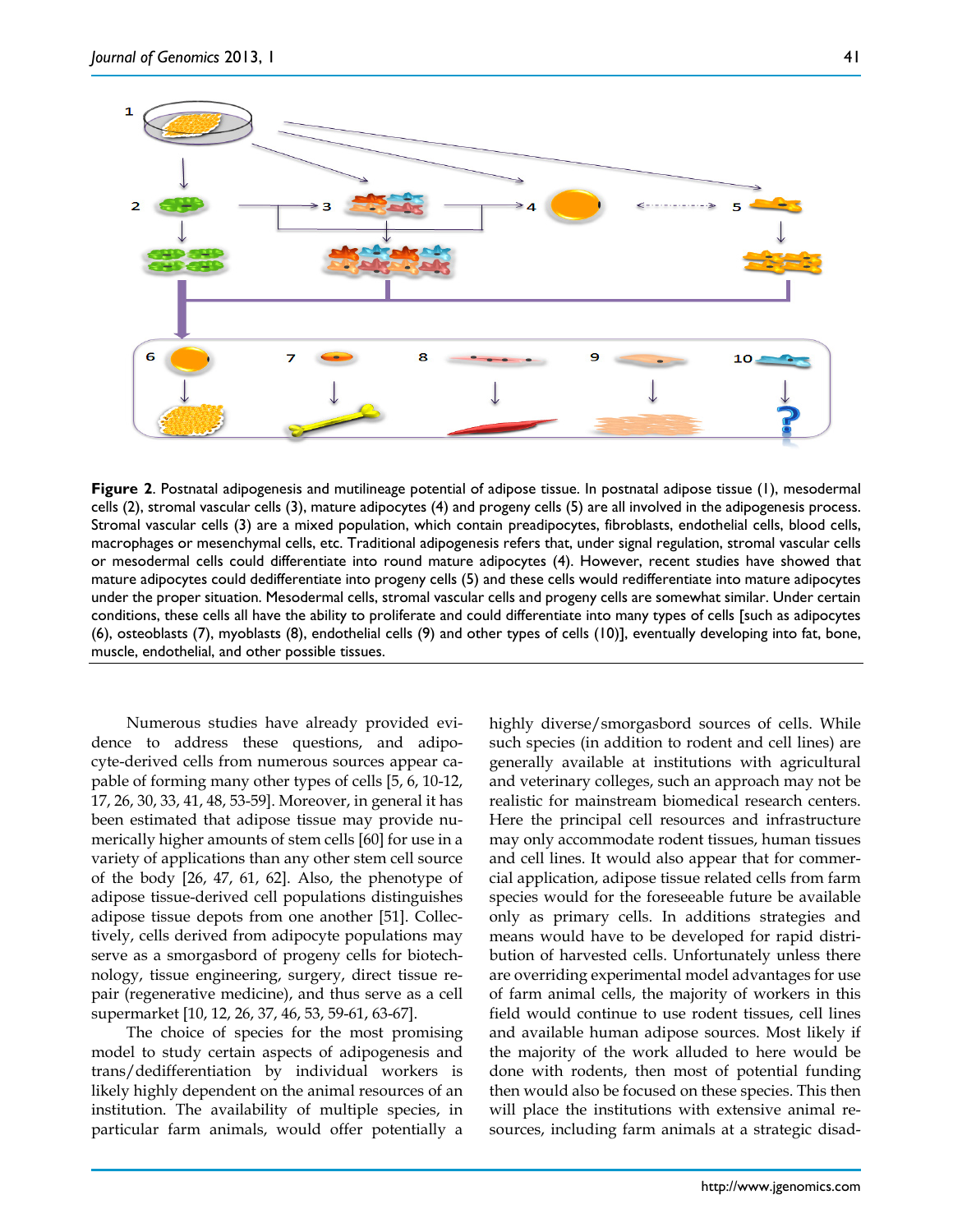

**Figure 2**. Postnatal adipogenesis and mutilineage potential of adipose tissue. In postnatal adipose tissue (1), mesodermal cells (2), stromal vascular cells (3), mature adipocytes (4) and progeny cells (5) are all involved in the adipogenesis process. Stromal vascular cells (3) are a mixed population, which contain preadipocytes, fibroblasts, endothelial cells, blood cells, macrophages or mesenchymal cells, etc. Traditional adipogenesis refers that, under signal regulation, stromal vascular cells or mesodermal cells could differentiate into round mature adipocytes (4). However, recent studies have showed that mature adipocytes could dedifferentiate into progeny cells (5) and these cells would redifferentiate into mature adipocytes under the proper situation. Mesodermal cells, stromal vascular cells and progeny cells are somewhat similar. Under certain conditions, these cells all have the ability to proliferate and could differentiate into many types of cells [such as adipocytes (6), osteoblasts (7), myoblasts (8), endothelial cells (9) and other types of cells (10)], eventually developing into fat, bone, muscle, endothelial, and other possible tissues.

Numerous studies have already provided evidence to address these questions, and adipocyte-derived cells from numerous sources appear capable of forming many other types of cells [5, 6, 10-12, 17, 26, 30, 33, 41, 48, 53-59]. Moreover, in general it has been estimated that adipose tissue may provide numerically higher amounts of stem cells [60] for use in a variety of applications than any other stem cell source of the body [26, 47, 61, 62]. Also, the phenotype of adipose tissue-derived cell populations distinguishes adipose tissue depots from one another [51]. Collectively, cells derived from adipocyte populations may serve as a smorgasbord of progeny cells for biotechnology, tissue engineering, surgery, direct tissue repair (regenerative medicine), and thus serve as a cell supermarket [10, 12, 26, 37, 46, 53, 59-61, 63-67].

The choice of species for the most promising model to study certain aspects of adipogenesis and trans/dedifferentiation by individual workers is likely highly dependent on the animal resources of an institution. The availability of multiple species, in particular farm animals, would offer potentially a

highly diverse/smorgasbord sources of cells. While such species (in addition to rodent and cell lines) are generally available at institutions with agricultural and veterinary colleges, such an approach may not be realistic for mainstream biomedical research centers. Here the principal cell resources and infrastructure may only accommodate rodent tissues, human tissues and cell lines. It would also appear that for commercial application, adipose tissue related cells from farm species would for the foreseeable future be available only as primary cells. In additions strategies and means would have to be developed for rapid distribution of harvested cells. Unfortunately unless there are overriding experimental model advantages for use of farm animal cells, the majority of workers in this field would continue to use rodent tissues, cell lines and available human adipose sources. Most likely if the majority of the work alluded to here would be done with rodents, then most of potential funding then would also be focused on these species. This then will place the institutions with extensive animal resources, including farm animals at a strategic disad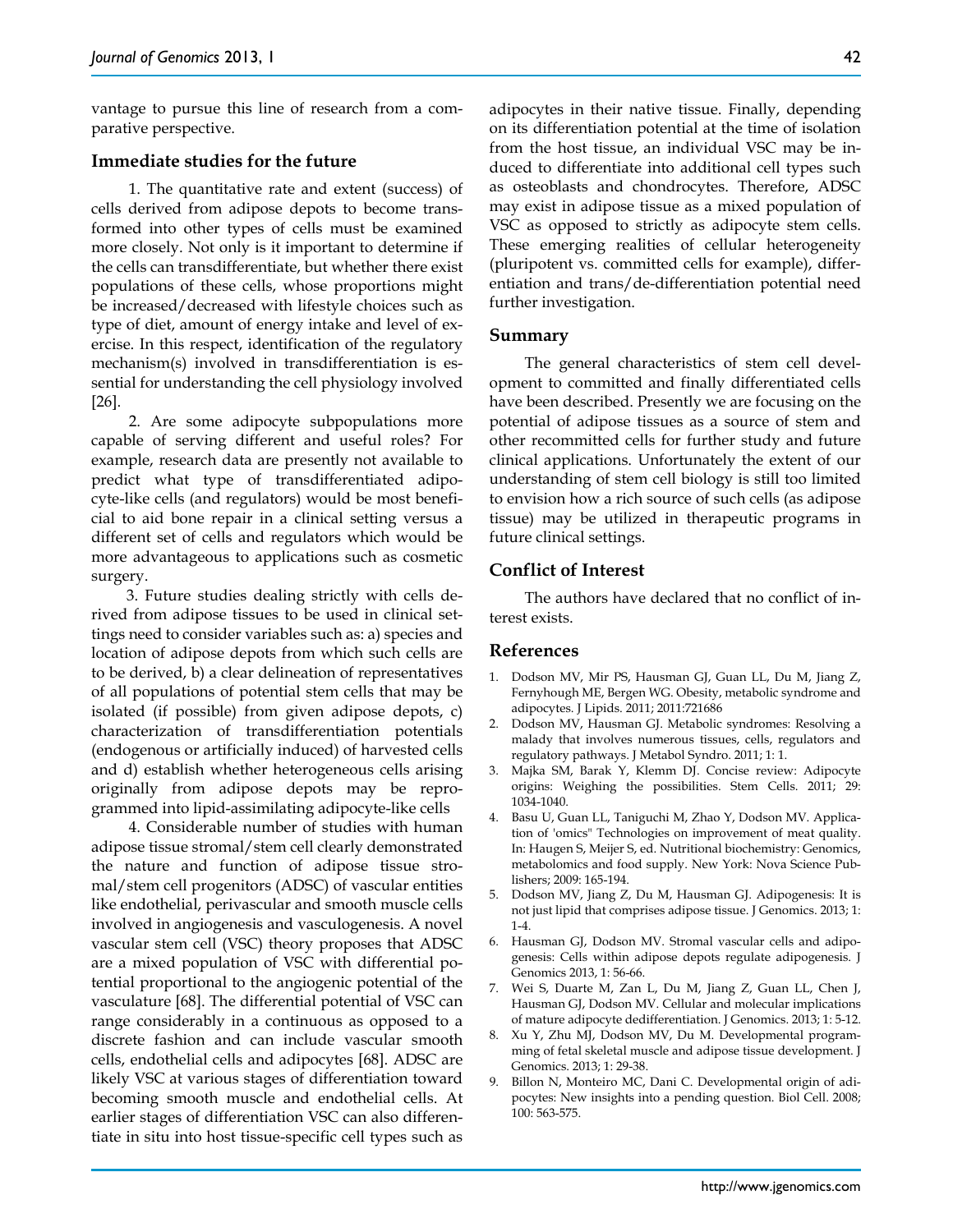vantage to pursue this line of research from a comparative perspective.

## **Immediate studies for the future**

1. The quantitative rate and extent (success) of cells derived from adipose depots to become transformed into other types of cells must be examined more closely. Not only is it important to determine if the cells can transdifferentiate, but whether there exist populations of these cells, whose proportions might be increased/decreased with lifestyle choices such as type of diet, amount of energy intake and level of exercise. In this respect, identification of the regulatory mechanism(s) involved in transdifferentiation is essential for understanding the cell physiology involved [26].

2. Are some adipocyte subpopulations more capable of serving different and useful roles? For example, research data are presently not available to predict what type of transdifferentiated adipocyte-like cells (and regulators) would be most beneficial to aid bone repair in a clinical setting versus a different set of cells and regulators which would be more advantageous to applications such as cosmetic surgery.

3. Future studies dealing strictly with cells derived from adipose tissues to be used in clinical settings need to consider variables such as: a) species and location of adipose depots from which such cells are to be derived, b) a clear delineation of representatives of all populations of potential stem cells that may be isolated (if possible) from given adipose depots, c) characterization of transdifferentiation potentials (endogenous or artificially induced) of harvested cells and d) establish whether heterogeneous cells arising originally from adipose depots may be reprogrammed into lipid-assimilating adipocyte-like cells

4. Considerable number of studies with human adipose tissue stromal/stem cell clearly demonstrated the nature and function of adipose tissue stromal/stem cell progenitors (ADSC) of vascular entities like endothelial, perivascular and smooth muscle cells involved in angiogenesis and vasculogenesis. A novel vascular stem cell (VSC) theory proposes that ADSC are a mixed population of VSC with differential potential proportional to the angiogenic potential of the vasculature [68]. The differential potential of VSC can range considerably in a continuous as opposed to a discrete fashion and can include vascular smooth cells, endothelial cells and adipocytes [68]. ADSC are likely VSC at various stages of differentiation toward becoming smooth muscle and endothelial cells. At earlier stages of differentiation VSC can also differentiate in situ into host tissue-specific cell types such as

adipocytes in their native tissue. Finally, depending on its differentiation potential at the time of isolation from the host tissue, an individual VSC may be induced to differentiate into additional cell types such as osteoblasts and chondrocytes. Therefore, ADSC may exist in adipose tissue as a mixed population of VSC as opposed to strictly as adipocyte stem cells. These emerging realities of cellular heterogeneity (pluripotent vs. committed cells for example), differentiation and trans/de-differentiation potential need further investigation.

### **Summary**

The general characteristics of stem cell development to committed and finally differentiated cells have been described. Presently we are focusing on the potential of adipose tissues as a source of stem and other recommitted cells for further study and future clinical applications. Unfortunately the extent of our understanding of stem cell biology is still too limited to envision how a rich source of such cells (as adipose tissue) may be utilized in therapeutic programs in future clinical settings.

### **Conflict of Interest**

The authors have declared that no conflict of interest exists.

### **References**

- 1. Dodson MV, Mir PS, Hausman GJ, Guan LL, Du M, Jiang Z, Fernyhough ME, Bergen WG. Obesity, metabolic syndrome and adipocytes. J Lipids. 2011; 2011:721686
- 2. Dodson MV, Hausman GJ. Metabolic syndromes: Resolving a malady that involves numerous tissues, cells, regulators and regulatory pathways. J Metabol Syndro. 2011; 1: 1.
- 3. Majka SM, Barak Y, Klemm DJ. Concise review: Adipocyte origins: Weighing the possibilities. Stem Cells. 2011; 29: 1034-1040.
- 4. Basu U, Guan LL, Taniguchi M, Zhao Y, Dodson MV. Application of 'omics" Technologies on improvement of meat quality. In: Haugen S, Meijer S, ed. Nutritional biochemistry: Genomics, metabolomics and food supply. New York: Nova Science Publishers; 2009: 165-194.
- 5. Dodson MV, Jiang Z, Du M, Hausman GJ. Adipogenesis: It is not just lipid that comprises adipose tissue. J Genomics. 2013; 1: 1-4.
- 6. Hausman GJ, Dodson MV. Stromal vascular cells and adipogenesis: Cells within adipose depots regulate adipogenesis. J Genomics 2013, 1: 56-66.
- 7. Wei S, Duarte M, Zan L, Du M, Jiang Z, Guan LL, Chen J, Hausman GJ, Dodson MV. Cellular and molecular implications of mature adipocyte dedifferentiation. J Genomics. 2013; 1: 5-12.
- 8. Xu Y, Zhu MJ, Dodson MV, Du M. Developmental programming of fetal skeletal muscle and adipose tissue development. J Genomics. 2013; 1: 29-38.
- 9. Billon N, Monteiro MC, Dani C. Developmental origin of adipocytes: New insights into a pending question. Biol Cell. 2008; 100: 563-575.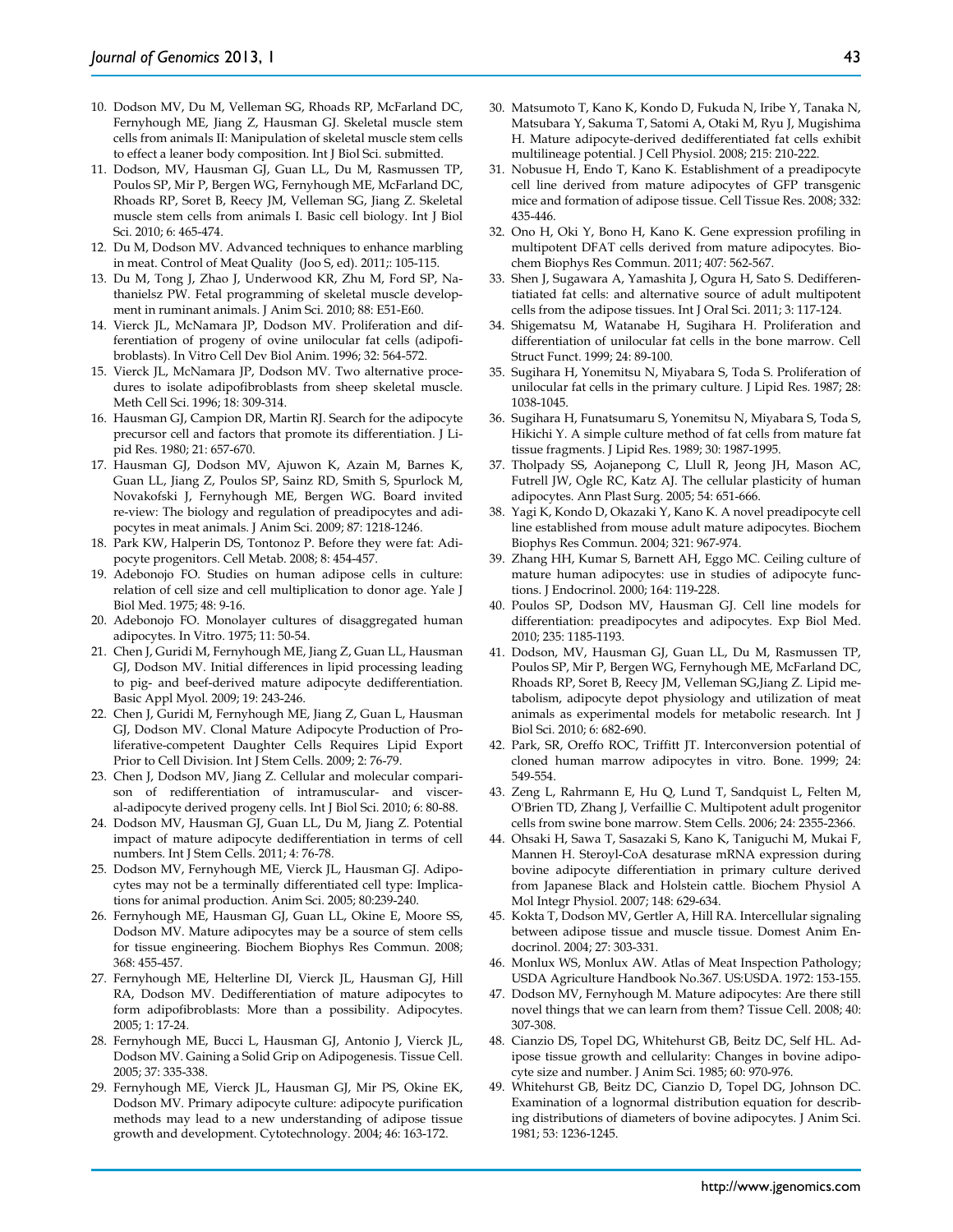- 10. Dodson MV, Du M, Velleman SG, Rhoads RP, McFarland DC, Fernyhough ME, Jiang Z, Hausman GJ. Skeletal muscle stem cells from animals II: Manipulation of skeletal muscle stem cells to effect a leaner body composition. Int J Biol Sci. submitted.
- 11. Dodson, MV, Hausman GJ, Guan LL, Du M, Rasmussen TP, Poulos SP, Mir P, Bergen WG, Fernyhough ME, McFarland DC, Rhoads RP, Soret B, Reecy JM, Velleman SG, Jiang Z. Skeletal muscle stem cells from animals I. Basic cell biology. Int J Biol Sci. 2010; 6: 465-474.
- 12. Du M, Dodson MV. Advanced techniques to enhance marbling in meat. Control of Meat Quality (Joo S, ed). 2011;: 105-115.
- 13. Du M, Tong J, Zhao J, Underwood KR, Zhu M, Ford SP, Nathanielsz PW. Fetal programming of skeletal muscle development in ruminant animals. J Anim Sci. 2010; 88: E51-E60.
- 14. Vierck JL, McNamara JP, Dodson MV. Proliferation and differentiation of progeny of ovine unilocular fat cells (adipofibroblasts). In Vitro Cell Dev Biol Anim. 1996; 32: 564-572.
- 15. Vierck JL, McNamara JP, Dodson MV. Two alternative procedures to isolate adipofibroblasts from sheep skeletal muscle. Meth Cell Sci. 1996; 18: 309-314.
- 16. Hausman GJ, Campion DR, Martin RJ. Search for the adipocyte precursor cell and factors that promote its differentiation. J Lipid Res. 1980; 21: 657-670.
- 17. Hausman GJ, Dodson MV, Ajuwon K, Azain M, Barnes K, Guan LL, Jiang Z, Poulos SP, Sainz RD, Smith S, Spurlock M, Novakofski J, Fernyhough ME, Bergen WG. Board invited re-view: The biology and regulation of preadipocytes and adipocytes in meat animals. J Anim Sci. 2009; 87: 1218-1246.
- 18. Park KW, Halperin DS, Tontonoz P. Before they were fat: Adipocyte progenitors. Cell Metab. 2008; 8: 454-457.
- 19. Adebonojo FO. Studies on human adipose cells in culture: relation of cell size and cell multiplication to donor age. Yale J Biol Med. 1975; 48: 9-16.
- 20. Adebonojo FO. Monolayer cultures of disaggregated human adipocytes. In Vitro. 1975; 11: 50-54.
- 21. Chen J, Guridi M, Fernyhough ME, Jiang Z, Guan LL, Hausman GJ, Dodson MV. Initial differences in lipid processing leading to pig- and beef-derived mature adipocyte dedifferentiation. Basic Appl Myol. 2009; 19: 243-246.
- 22. Chen J, Guridi M, Fernyhough ME, Jiang Z, Guan L, Hausman GJ, Dodson MV. Clonal Mature Adipocyte Production of Proliferative-competent Daughter Cells Requires Lipid Export Prior to Cell Division. Int J Stem Cells. 2009; 2: 76-79.
- 23. Chen J, Dodson MV, Jiang Z. Cellular and molecular comparison of redifferentiation of intramuscular- and visceral-adipocyte derived progeny cells. Int J Biol Sci. 2010; 6: 80-88.
- 24. Dodson MV, Hausman GJ, Guan LL, Du M, Jiang Z. Potential impact of mature adipocyte dedifferentiation in terms of cell numbers. Int J Stem Cells. 2011; 4: 76-78.
- 25. Dodson MV, Fernyhough ME, Vierck JL, Hausman GJ. Adipocytes may not be a terminally differentiated cell type: Implications for animal production. Anim Sci. 2005; 80:239-240.
- 26. Fernyhough ME, Hausman GJ, Guan LL, Okine E, Moore SS, Dodson MV. Mature adipocytes may be a source of stem cells for tissue engineering. Biochem Biophys Res Commun. 2008; 368: 455-457.
- 27. Fernyhough ME, Helterline DI, Vierck JL, Hausman GJ, Hill RA, Dodson MV. Dedifferentiation of mature adipocytes to form adipofibroblasts: More than a possibility. Adipocytes. 2005; 1: 17-24.
- 28. Fernyhough ME, Bucci L, Hausman GJ, Antonio J, Vierck JL, Dodson MV. Gaining a Solid Grip on Adipogenesis. Tissue Cell. 2005; 37: 335-338.
- 29. Fernyhough ME, Vierck JL, Hausman GJ, Mir PS, Okine EK, Dodson MV. Primary adipocyte culture: adipocyte purification methods may lead to a new understanding of adipose tissue growth and development. Cytotechnology. 2004; 46: 163-172.
- 30. Matsumoto T, Kano K, Kondo D, Fukuda N, Iribe Y, Tanaka N, Matsubara Y, Sakuma T, Satomi A, Otaki M, Ryu J, Mugishima H. Mature adipocyte-derived dedifferentiated fat cells exhibit multilineage potential. J Cell Physiol. 2008; 215: 210-222.
- 31. Nobusue H, Endo T, Kano K. Establishment of a preadipocyte cell line derived from mature adipocytes of GFP transgenic mice and formation of adipose tissue. Cell Tissue Res. 2008; 332: 435-446.
- 32. Ono H, Oki Y, Bono H, Kano K. Gene expression profiling in multipotent DFAT cells derived from mature adipocytes. Biochem Biophys Res Commun. 2011; 407: 562-567.
- 33. Shen J, Sugawara A, Yamashita J, Ogura H, Sato S. Dedifferentiatiated fat cells: and alternative source of adult multipotent cells from the adipose tissues. Int J Oral Sci. 2011; 3: 117-124.
- 34. Shigematsu M, Watanabe H, Sugihara H. Proliferation and differentiation of unilocular fat cells in the bone marrow. Cell Struct Funct. 1999; 24: 89-100.
- 35. Sugihara H, Yonemitsu N, Miyabara S, Toda S. Proliferation of unilocular fat cells in the primary culture. J Lipid Res. 1987; 28: 1038-1045.
- 36. Sugihara H, Funatsumaru S, Yonemitsu N, Miyabara S, Toda S, Hikichi Y. A simple culture method of fat cells from mature fat tissue fragments. J Lipid Res. 1989; 30: 1987-1995.
- 37. Tholpady SS, Aojanepong C, Llull R, Jeong JH, Mason AC, Futrell JW, Ogle RC, Katz AJ. The cellular plasticity of human adipocytes. Ann Plast Surg. 2005; 54: 651-666.
- 38. Yagi K, Kondo D, Okazaki Y, Kano K. A novel preadipocyte cell line established from mouse adult mature adipocytes. Biochem Biophys Res Commun. 2004; 321: 967-974.
- 39. Zhang HH, Kumar S, Barnett AH, Eggo MC. Ceiling culture of mature human adipocytes: use in studies of adipocyte functions. J Endocrinol. 2000; 164: 119-228.
- 40. Poulos SP, Dodson MV, Hausman GJ. Cell line models for differentiation: preadipocytes and adipocytes. Exp Biol Med. 2010; 235: 1185-1193.
- 41. Dodson, MV, Hausman GJ, Guan LL, Du M, Rasmussen TP, Poulos SP, Mir P, Bergen WG, Fernyhough ME, McFarland DC, Rhoads RP, Soret B, Reecy JM, Velleman SG,Jiang Z. Lipid metabolism, adipocyte depot physiology and utilization of meat animals as experimental models for metabolic research. Int J Biol Sci. 2010; 6: 682-690.
- 42. Park, SR, Oreffo ROC, Triffitt JT. Interconversion potential of cloned human marrow adipocytes in vitro. Bone. 1999; 24: 549-554.
- 43. Zeng L, Rahrmann E, Hu Q, Lund T, Sandquist L, Felten M, O'Brien TD, Zhang J, Verfaillie C. Multipotent adult progenitor cells from swine bone marrow. Stem Cells. 2006; 24: 2355-2366.
- 44. Ohsaki H, Sawa T, Sasazaki S, Kano K, Taniguchi M, Mukai F, Mannen H. Steroyl-CoA desaturase mRNA expression during bovine adipocyte differentiation in primary culture derived from Japanese Black and Holstein cattle. Biochem Physiol A Mol Integr Physiol. 2007; 148: 629-634.
- 45. Kokta T, Dodson MV, Gertler A, Hill RA. Intercellular signaling between adipose tissue and muscle tissue. Domest Anim Endocrinol. 2004; 27: 303-331.
- 46. Monlux WS, Monlux AW. Atlas of Meat Inspection Pathology; USDA Agriculture Handbook No.367. US:USDA. 1972: 153-155.
- 47. Dodson MV, Fernyhough M. Mature adipocytes: Are there still novel things that we can learn from them? Tissue Cell. 2008; 40: 307-308.
- 48. Cianzio DS, Topel DG, Whitehurst GB, Beitz DC, Self HL. Adipose tissue growth and cellularity: Changes in bovine adipocyte size and number. J Anim Sci. 1985; 60: 970-976.
- 49. Whitehurst GB, Beitz DC, Cianzio D, Topel DG, Johnson DC. Examination of a lognormal distribution equation for describing distributions of diameters of bovine adipocytes. J Anim Sci. 1981; 53: 1236-1245.